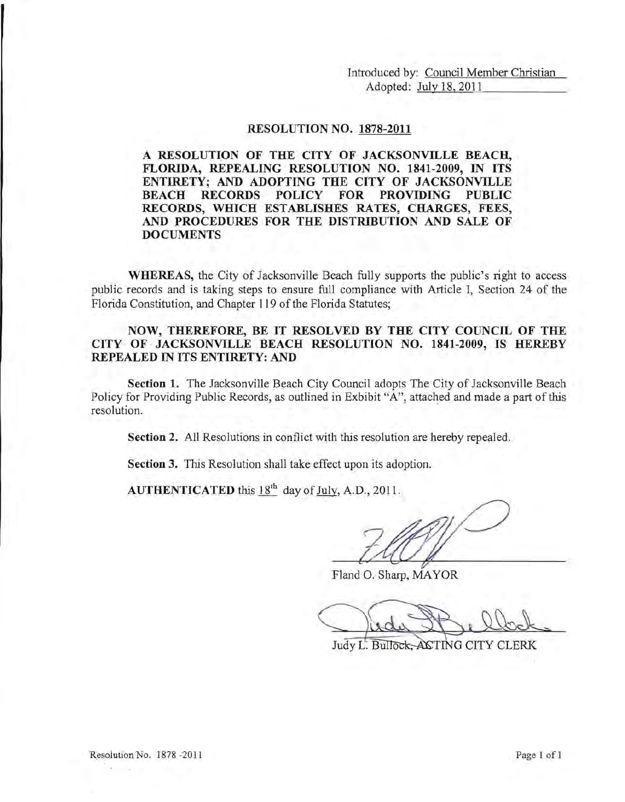Introduced by: Council Member Christian Adopted: July 18, 2011

#### **RESOLUTION NO. 1878-2011**

A **RESOLUTION OF THE CITY OF JACKSONVILLE BEACH, FLORIDA, REPEALING RESOLUTION NO. 1841-2009, IN ITS ENTIRETY; AND ADOPTING THE CITY OF JACKSONVILLE BEACH RECORDS POLICY FOR PROVIDING PUBLIC RECORDS, WHICH ESTABLISHES RATES, CHARGES, FEES, AND PROCEDURES FOR THE DISTRIBUTION AND SALE OF DOCUMENTS** 

**WHEREAS,** the City of Jacksonville Beach fully supports the public's right to access public records and is taking steps to ensure full compliance with Article I, Section 24 of the Florida Constitution, and Chapter 119 of the Florida Statutes;

# **NOW, THEREFORE, BE IT RESOLVED BY THE CITY COUNCIL OF THE CITY OF · JACKSONVILLE BEACH RESOLUTION NO. 1841-2009, IS HEREBY REPEALED IN ITS ENTIRETY: AND**

**Section 1.** The Jacksonville Beach City Council adopts The City of Jacksonville Beach Policy for Providing Public Records, as outlined in Exbibit "A", attached and made a part of this resolution.

**Section 2.** All Resolutions in conflict with this resolution are hereby repealed.

**Section 3.** This Resolution shall take effect upon its adoption.

AUTHENTICATED this 18<sup>th</sup> day of July, A.D., 2011.

Fland O. Sharp, MAYOR

Judy L. Bullock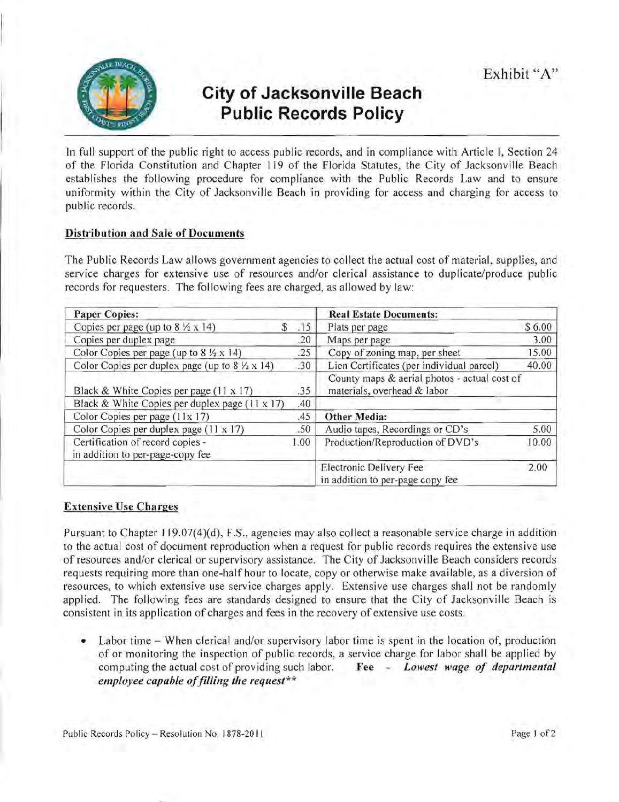

# **City of Jacksonville Beach Public Records Policy**

In full support of the public right to access public records, and in compliance with Article I, Section 24 of the Florida Constitution and Chapter 119 of the Florida Statutes, the City of Jacksonville Beach establishes the following procedure for compliance with the Public Records Law and to ensure uniformity within the City of Jacksonville Beach in providing for access and charging for access to public records.

## Distribution and Sale of Documents

The Public Records Law allows government agencies to collect the actual cost of material, supplies, and service charges for extensive use of resources and/or clerical assistance to duplicate/produce public records for requesters. The following fees are charged, as allowed by law:

| <b>Paper Copies:</b>                                                 |             | <b>Real Estate Documents:</b>                                               |        |
|----------------------------------------------------------------------|-------------|-----------------------------------------------------------------------------|--------|
| Copies per page (up to $8\frac{1}{2} \times 14$ )                    | $-15$<br>S. | Plats per page                                                              | \$6.00 |
| Copies per duplex page                                               | .20         | Maps per page                                                               | 3.00   |
| Color Copies per page (up to $8\frac{1}{2} \times 14$ )              | .25         | Copy of zoning map, per sheet                                               | 15.00  |
| Color Copies per duplex page (up to $8\frac{1}{2} \times 14$ )       | .30         | Lien Certificates (per individual parcel)                                   | 40.00  |
| Black & White Copies per page (11 x 17)                              | .35         | County maps & aerial photos - actual cost of<br>materials, overhead & labor |        |
| Black & White Copies per duplex page (11 x 17)                       | .40         |                                                                             |        |
| Color Copies per page (11x 17)                                       | .45         | <b>Other Media:</b>                                                         |        |
| Color Copies per duplex page (11 x 17)                               | .50         | Audio tapes, Recordings or CD's                                             | 5.00   |
| Certification of record copies -<br>in addition to per-page-copy fee | 1.00        | Production/Reproduction of DVD's                                            | 10.00  |
|                                                                      |             | Electronic Delivery Fee<br>in addition to per-page copy fee                 | 2.00   |

## Extensive Use Charges

Pursuant to Chapter 119.07(4)(d), F.S., agencies may also collect a reasonable service charge in addition to the actual cost of document reproduction when a request for public records requires the extensive use of resources and/or clerical or supervisory assistance. The City of Jacksonville Beach considers records requests requiring more than one-half hour to locate, copy or otherwise make avai lable, as a diversion of resources, to which extensive use service charges apply. Extensive use charges shall not be randomly applied. The following fees are standards designed to ensure that the City of Jacksonville Beach is consistent in its application of charges and fees in the recovery of extensive use costs.

Labor time – When clerical and/or supervisory labor time is spent in the location of, production of or monitoring the inspection of public records, a service charge for labor shall be applied by computing the actual cost of providing such labor. Fee *Lowest wage of departmental employee capable of filling the request*\*\*